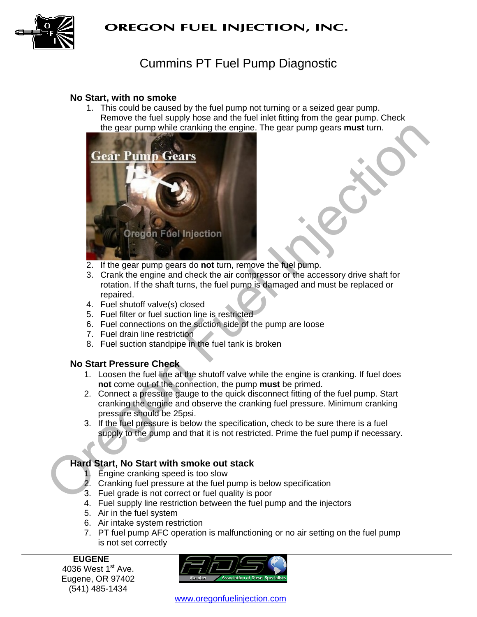

# Cummins PT Fuel Pump Diagnostic

#### **No Start, with no smoke**

1. This could be caused by the fuel pump not turning or a seized gear pump. Remove the fuel supply hose and the fuel inlet fitting from the gear pump. Check the gear pump while cranking the engine. The gear pump gears **must** turn.



- 2. If the gear pump gears do **not** turn, remove the fuel pump.
- 3. Crank the engine and check the air compressor or the accessory drive shaft for rotation. If the shaft turns, the fuel pump is damaged and must be replaced or repaired.
- 4. Fuel shutoff valve(s) closed
- 5. Fuel filter or fuel suction line is restricted
- 6. Fuel connections on the suction side of the pump are loose
- 7. Fuel drain line restriction
- 8. Fuel suction standpipe in the fuel tank is broken

#### **No Start Pressure Check**

- 1. Loosen the fuel line at the shutoff valve while the engine is cranking. If fuel does **not** come out of the connection, the pump **must** be primed.
- 2. Connect a pressure gauge to the quick disconnect fitting of the fuel pump. Start cranking the engine and observe the cranking fuel pressure. Minimum cranking pressure should be 25psi.
- 3. If the fuel pressure is below the specification, check to be sure there is a fuel supply to the pump and that it is not restricted. Prime the fuel pump if necessary.

## **Hard Start, No Start with smoke out stack**

- 1. Engine cranking speed is too slow
- 2. Cranking fuel pressure at the fuel pump is below specification
- 3. Fuel grade is not correct or fuel quality is poor
- 4. Fuel supply line restriction between the fuel pump and the injectors
- 5. Air in the fuel system
- 6. Air intake system restriction
- 7. PT fuel pump AFC operation is malfunctioning or no air setting on the fuel pump is not set correctly

**EUGENE**  4036 West  $1<sup>st</sup>$  Ave. Eugene, OR 97402 (541) 485-1434

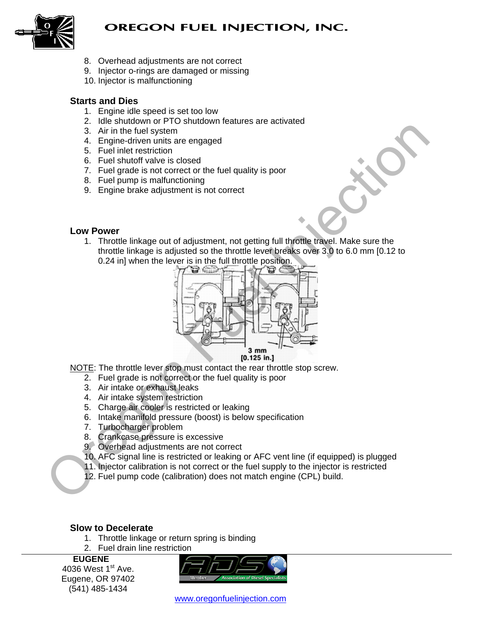



- 8. Overhead adjustments are not correct
- 9. Injector o-rings are damaged or missing
- 10. Injector is malfunctioning

# **Starts and Dies**

- 1. Engine idle speed is set too low
- 2. Idle shutdown or PTO shutdown features are activated
- 3. Air in the fuel system
- 4. Engine-driven units are engaged
- 5. Fuel inlet restriction
- 6. Fuel shutoff valve is closed
- 7. Fuel grade is not correct or the fuel quality is poor
- 8. Fuel pump is malfunctioning
- 9. Engine brake adjustment is not correct

## **Low Power**

1. Throttle linkage out of adjustment, not getting full throttle travel. Make sure the throttle linkage is adjusted so the throttle lever breaks over 3.0 to 6.0 mm [0.12 to 0.24 in] when the lever is in the full throttle position.



NOTE: The throttle lever stop must contact the rear throttle stop screw.

- 2. Fuel grade is not correct or the fuel quality is poor
- 3. Air intake or exhaust leaks
- 4. Air intake system restriction
- 5. Charge air cooler is restricted or leaking
- 6. Intake manifold pressure (boost) is below specification
- 7. Turbocharger problem
- 8. Crankcase pressure is excessive
- 9. Overhead adjustments are not correct
- 10. AFC signal line is restricted or leaking or AFC vent line (if equipped) is plugged
- 11. Injector calibration is not correct or the fuel supply to the injector is restricted
- 12. Fuel pump code (calibration) does not match engine (CPL) build.

## **Slow to Decelerate**

- 1. Throttle linkage or return spring is binding
- 2. Fuel drain line restriction

**EUGENE**  4036 West  $1<sup>st</sup>$  Ave. Eugene, OR 97402 (541) 485-1434

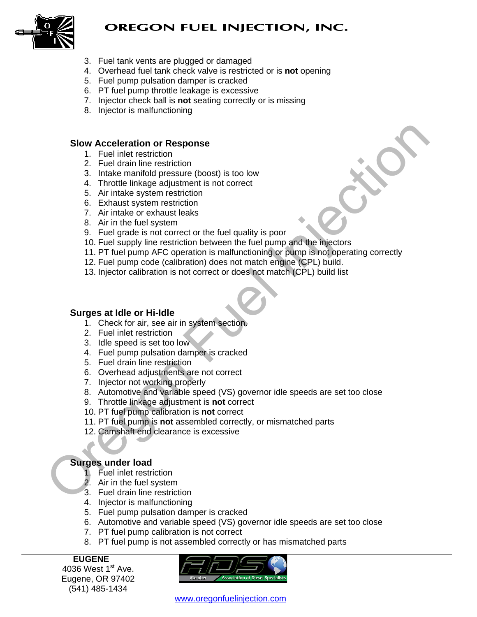

- 3. Fuel tank vents are plugged or damaged
- 4. Overhead fuel tank check valve is restricted or is **not** opening
- 5. Fuel pump pulsation damper is cracked
- 6. PT fuel pump throttle leakage is excessive
- 7. Injector check ball is **not** seating correctly or is missing
- 8. Injector is malfunctioning

#### **Slow Acceleration or Response**

- 1. Fuel inlet restriction
- 2. Fuel drain line restriction
- 3. Intake manifold pressure (boost) is too low
- 4. Throttle linkage adjustment is not correct
- 5. Air intake system restriction
- 6. Exhaust system restriction
- 7. Air intake or exhaust leaks
- 8. Air in the fuel system
- 9. Fuel grade is not correct or the fuel quality is poor
- 10. Fuel supply line restriction between the fuel pump and the injectors
- 11. PT fuel pump AFC operation is malfunctioning or pump is not operating correctly **Slow Acceleration or Response**<br>
1. Fuel inlet restriction<br>
2. Fuel drah inne estimates the cost is too low<br>
4. Throtte linkage adjustment is not correct<br>
4. Throtte linkage adjustment is not correct<br>
4. The fuel system r
	- 12. Fuel pump code (calibration) does not match engine (CPL) build.
	- 13. Injector calibration is not correct or does not match (CPL) build list

#### **Surges at Idle or Hi-Idle**

- 1. Check for air, see air in system section.
- 2. Fuel inlet restriction
- 3. Idle speed is set too low
- 4. Fuel pump pulsation damper is cracked
- 5. Fuel drain line restriction
- 6. Overhead adjustments are not correct
- 7. Injector not working properly
- 8. Automotive and variable speed (VS) governor idle speeds are set too close
- 9. Throttle linkage adjustment is **not** correct
- 10. PT fuel pump calibration is **not** correct
- 11. PT fuel pump is **not** assembled correctly, or mismatched parts
- 12. Camshaft end clearance is excessive

## **Surges under load**

- 1. Fuel inlet restriction
- 2. Air in the fuel system
- 3. Fuel drain line restriction
- 4. Injector is malfunctioning
- 5. Fuel pump pulsation damper is cracked
- 6. Automotive and variable speed (VS) governor idle speeds are set too close
- 7. PT fuel pump calibration is not correct
- 8. PT fuel pump is not assembled correctly or has mismatched parts

**EUGENE**  4036 West  $1<sup>st</sup>$  Ave. Eugene, OR 97402 (541) 485-1434

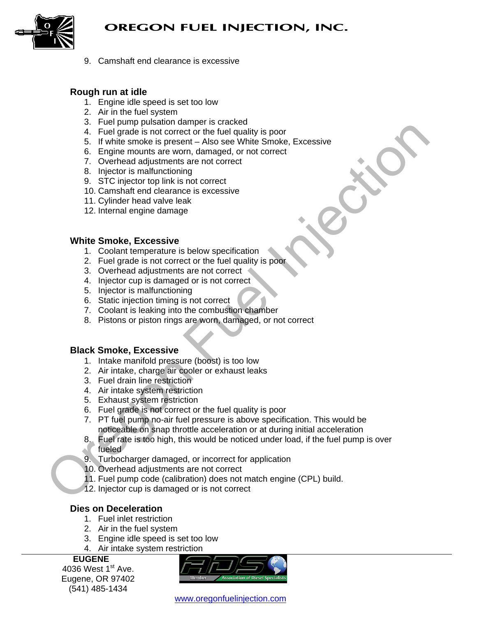

9. Camshaft end clearance is excessive

#### **Rough run at idle**

- 1. Engine idle speed is set too low
- 2. Air in the fuel system
- 3. Fuel pump pulsation damper is cracked
- 4. Fuel grade is not correct or the fuel quality is poor
- 5. If white smoke is present Also see White Smoke, Excessive
- 6. Engine mounts are worn, damaged, or not correct
- 7. Overhead adjustments are not correct
- 8. Injector is malfunctioning
- 9. STC injector top link is not correct
- 10. Camshaft end clearance is excessive
- 11. Cylinder head valve leak
- 12. Internal engine damage

#### **White Smoke, Excessive**

- 1. Coolant temperature is below specification
- 2. Fuel grade is not correct or the fuel quality is poor
- 3. Overhead adjustments are not correct
- 4. Injector cup is damaged or is not correct
- 5. Injector is malfunctioning
- 6. Static injection timing is not correct
- 7. Coolant is leaking into the combustion chamber
- 8. Pistons or piston rings are worn, damaged, or not correct

#### **Black Smoke, Excessive**

- 1. Intake manifold pressure (boost) is too low
- 2. Air intake, charge air cooler or exhaust leaks
- 3. Fuel drain line restriction
- 4. Air intake system restriction
- 5. Exhaust system restriction
- 6. Fuel grade is not correct or the fuel quality is poor
- 7. PT fuel pump no-air fuel pressure is above specification. This would be noticeable on snap throttle acceleration or at during initial acceleration
- 8. Fuel rate is too high, this would be noticed under load, if the fuel pump is over fueled 3. Fuel grade to social technology and the same technology and the same of the same of the same of the same of the Smoke. Excessive<br>
5. Engine mounts are worn, damaged, or not correct<br>
7. Orefhed adjustments are not orient
	- 9. Turbocharger damaged, or incorrect for application
	- 10. Overhead adjustments are not correct
	- 11. Fuel pump code (calibration) does not match engine (CPL) build.
	- 12. Injector cup is damaged or is not correct

## **Dies on Deceleration**

- 1. Fuel inlet restriction
- 2. Air in the fuel system
- 3. Engine idle speed is set too low
- 4. Air intake system restriction

**EUGENE** 

4036 West  $1<sup>st</sup>$  Ave. Eugene, OR 97402 (541) 485-1434

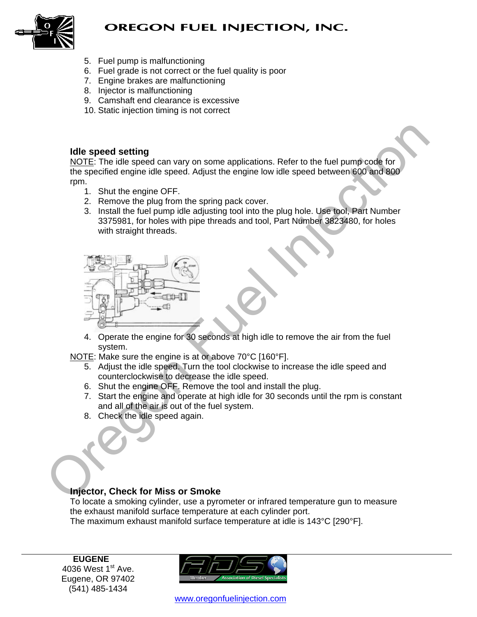

- 5. Fuel pump is malfunctioning
- 6. Fuel grade is not correct or the fuel quality is poor
- 7. Engine brakes are malfunctioning
- 8. Injector is malfunctioning
- 9. Camshaft end clearance is excessive
- 10. Static injection timing is not correct

#### **Idle speed setting**

NOTE: The idle speed can vary on some applications. Refer to the fuel pump code for the specified engine idle speed. Adjust the engine low idle speed between 600 and 800 rpm.

- 1. Shut the engine OFF.
- 2. Remove the plug from the spring pack cover.
- 3. Install the fuel pump idle adjusting tool into the plug hole. Use tool, Part Number 3375981, for holes with pipe threads and tool, Part Number 3823480, for holes with straight threads.



4. Operate the engine for 30 seconds at high idle to remove the air from the fuel system.

NOTE: Make sure the engine is at or above 70°C [160°F].

- 5. Adjust the idle speed. Turn the tool clockwise to increase the idle speed and counterclockwise to decrease the idle speed.
- 6. Shut the engine OFF. Remove the tool and install the plug.
- 7. Start the engine and operate at high idle for 30 seconds until the rpm is constant and all of the air is out of the fuel system.
- 8. Check the idle speed again.

## **Injector, Check for Miss or Smoke**

To locate a smoking cylinder, use a pyrometer or infrared temperature gun to measure the exhaust manifold surface temperature at each cylinder port. The maximum exhaust manifold surface temperature at idle is 143°C [290°F].

**EUGENE**  4036 West  $1<sup>st</sup>$  Ave. Eugene, OR 97402 (541) 485-1434